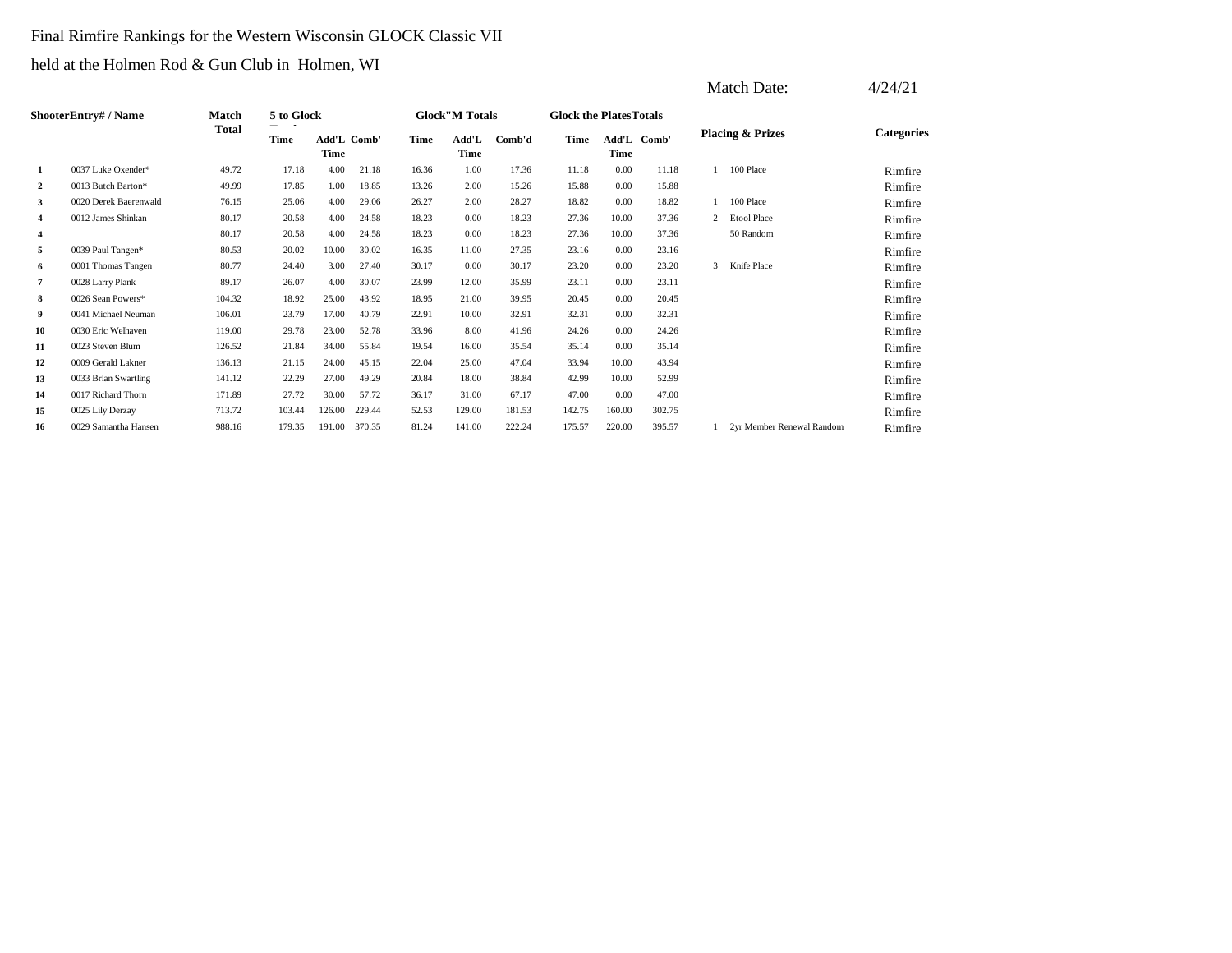### Final Rimfire Rankings for the Western Wisconsin GLOCK Classic VII

held at the Holmen Rod & Gun Club in Holmen, WI

|                         |                             |              |            |                     |        |       |                       |        |                                |                     |        |   | Match Date:                 | 4/24/21           |
|-------------------------|-----------------------------|--------------|------------|---------------------|--------|-------|-----------------------|--------|--------------------------------|---------------------|--------|---|-----------------------------|-------------------|
|                         | <b>ShooterEntry# / Name</b> | <b>Match</b> | 5 to Glock |                     |        |       | <b>Glock"M Totals</b> |        | <b>Glock the Plates Totals</b> |                     |        |   |                             |                   |
|                         |                             | <b>Total</b> | Time       | Add'L Comb'<br>Time |        | Time  | Add'L<br>Time         | Comb'd | Time                           | Add'L Comb'<br>Time |        |   | <b>Placing &amp; Prizes</b> | <b>Categories</b> |
| 1                       | 0037 Luke Oxender*          | 49.72        | 17.18      | 4.00                | 21.18  | 16.36 | 1.00                  | 17.36  | 11.18                          | 0.00                | 11.18  |   | 100 Place                   | Rimfire           |
| $\boldsymbol{2}$        | 0013 Butch Barton*          | 49.99        | 17.85      | 1.00                | 18.85  | 13.26 | 2.00                  | 15.26  | 15.88                          | 0.00                | 15.88  |   |                             | Rimfire           |
| 3                       | 0020 Derek Baerenwald       | 76.15        | 25.06      | 4.00                | 29.06  | 26.27 | 2.00                  | 28.27  | 18.82                          | 0.00                | 18.82  |   | 100 Place                   | Rimfire           |
| $\overline{\mathbf{4}}$ | 0012 James Shinkan          | 80.17        | 20.58      | 4.00                | 24.58  | 18.23 | 0.00                  | 18.23  | 27.36                          | 10.00               | 37.36  | 2 | <b>Etool Place</b>          | Rimfire           |
| $\overline{4}$          |                             | 80.17        | 20.58      | 4.00                | 24.58  | 18.23 | 0.00                  | 18.23  | 27.36                          | 10.00               | 37.36  |   | 50 Random                   | Rimfire           |
| 5                       | 0039 Paul Tangen*           | 80.53        | 20.02      | 10.00               | 30.02  | 16.35 | 11.00                 | 27.35  | 23.16                          | 0.00                | 23.16  |   |                             | Rimfire           |
| 6                       | 0001 Thomas Tangen          | 80.77        | 24.40      | 3.00                | 27.40  | 30.17 | 0.00                  | 30.17  | 23.20                          | 0.00                | 23.20  | 3 | Knife Place                 | Rimfire           |
| $\overline{7}$          | 0028 Larry Plank            | 89.17        | 26.07      | 4.00                | 30.07  | 23.99 | 12.00                 | 35.99  | 23.11                          | 0.00                | 23.11  |   |                             | Rimfire           |
| 8                       | 0026 Sean Powers*           | 104.32       | 18.92      | 25.00               | 43.92  | 18.95 | 21.00                 | 39.95  | 20.45                          | 0.00                | 20.45  |   |                             | Rimfire           |
| 9                       | 0041 Michael Neuman         | 106.01       | 23.79      | 17.00               | 40.79  | 22.91 | 10.00                 | 32.91  | 32.31                          | 0.00                | 32.31  |   |                             | Rimfire           |
| 10                      | 0030 Eric Welhaven          | 119.00       | 29.78      | 23.00               | 52.78  | 33.96 | 8.00                  | 41.96  | 24.26                          | 0.00                | 24.26  |   |                             | Rimfire           |
| 11                      | 0023 Steven Blum            | 126.52       | 21.84      | 34.00               | 55.84  | 19.54 | 16.00                 | 35.54  | 35.14                          | 0.00                | 35.14  |   |                             | Rimfire           |
| 12                      | 0009 Gerald Lakner          | 136.13       | 21.15      | 24.00               | 45.15  | 22.04 | 25.00                 | 47.04  | 33.94                          | 10.00               | 43.94  |   |                             | Rimfire           |
| 13                      | 0033 Brian Swartling        | 141.12       | 22.29      | 27.00               | 49.29  | 20.84 | 18.00                 | 38.84  | 42.99                          | 10.00               | 52.99  |   |                             | Rimfire           |
| 14                      | 0017 Richard Thorn          | 171.89       | 27.72      | 30.00               | 57.72  | 36.17 | 31.00                 | 67.17  | 47.00                          | 0.00                | 47.00  |   |                             | Rimfire           |
| 15                      | 0025 Lily Derzay            | 713.72       | 103.44     | 126.00              | 229.44 | 52.53 | 129.00                | 181.53 | 142.75                         | 160.00              | 302.75 |   |                             | Rimfire           |
| 16                      | 0029 Samantha Hansen        | 988.16       | 179.35     | 191.00              | 370.35 | 81.24 | 141.00                | 222.24 | 175.57                         | 220.00              | 395.57 |   | 2yr Member Renewal Random   | Rimfire           |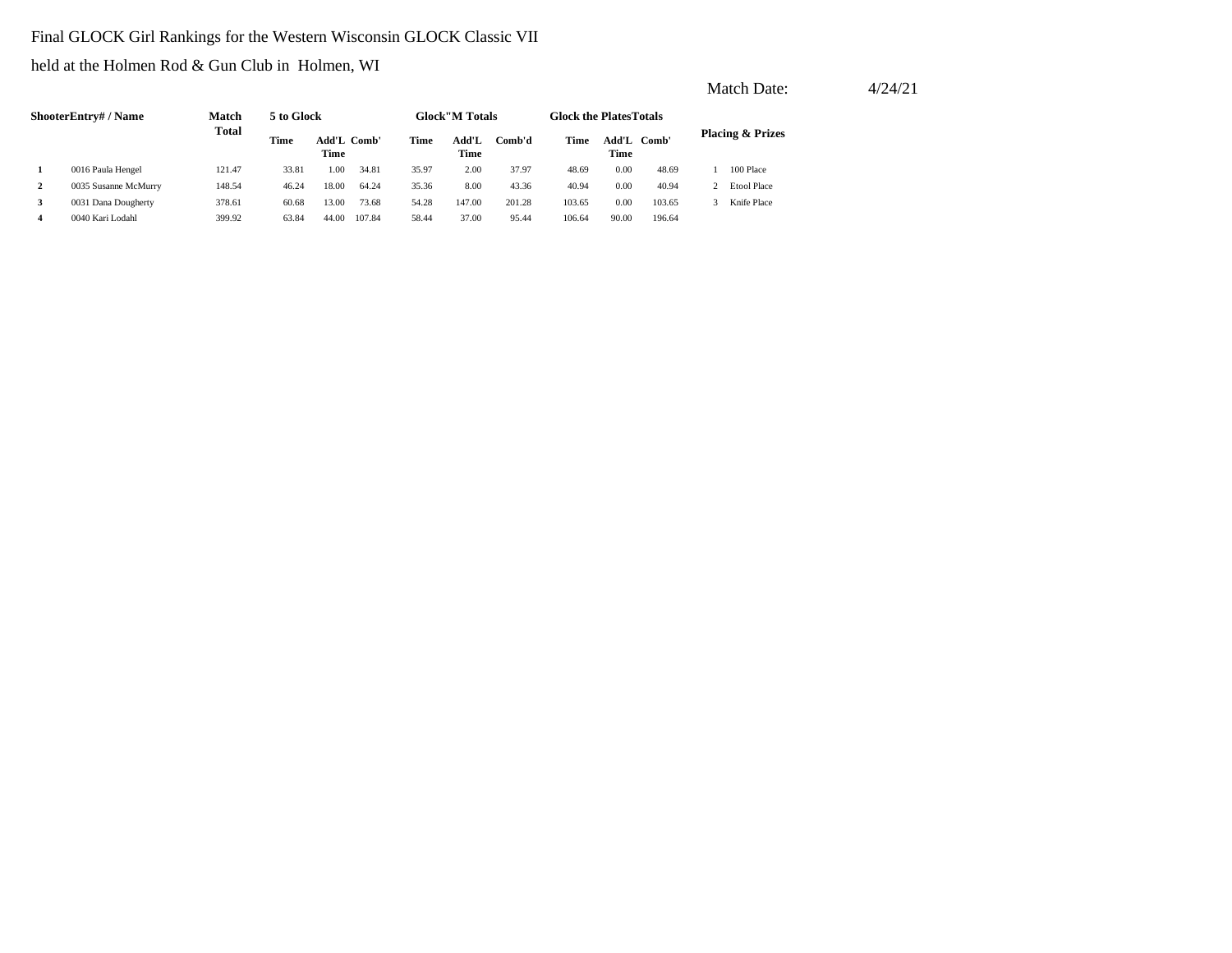### Final GLOCK Girl Rankings for the Western Wisconsin GLOCK Classic VII

#### held at the Holmen Rod & Gun Club in Holmen, WI

|              |                      |              |                     |       |        |               |                        |        |                               |             |                             | Match Date:        | 4/24/21 |  |
|--------------|----------------------|--------------|---------------------|-------|--------|---------------|------------------------|--------|-------------------------------|-------------|-----------------------------|--------------------|---------|--|
|              | ShooterEntry# / Name | <b>Match</b> | 5 to Glock          |       |        |               | <b>Glock</b> "M Totals |        | <b>Glock the PlatesTotals</b> |             |                             |                    |         |  |
|              | <b>Total</b>         | Time         | Add'L Comb'<br>Time |       | Time   | Add'L<br>Time | Comb'd                 | Time   | Time                          | Add'L Comb' | <b>Placing &amp; Prizes</b> |                    |         |  |
|              | 0016 Paula Hengel    | 121.47       | 33.81               | 1.00  | 34.81  | 35.97         | 2.00                   | 37.97  | 48.69                         | 0.00        | 48.69                       | 100 Place          |         |  |
| $\mathbf{2}$ | 0035 Susanne McMurry | 148.54       | 46.24               | 18.00 | 64.24  | 35.36         | 8.00                   | 43.36  | 40.94                         | 0.00        | 40.94                       | <b>Etool Place</b> |         |  |
| 3            | 0031 Dana Dougherty  | 378.61       | 60.68               | 13.00 | 73.68  | 54.28         | 147.00                 | 201.28 | 103.65                        | 0.00        | 103.65                      | Knife Place        |         |  |
| 4            | 0040 Kari Lodahl     | 399.92       | 63.84               | 44.00 | 107.84 | 58.44         | 37.00                  | 95.44  | 106.64                        | 90.00       | 196.64                      |                    |         |  |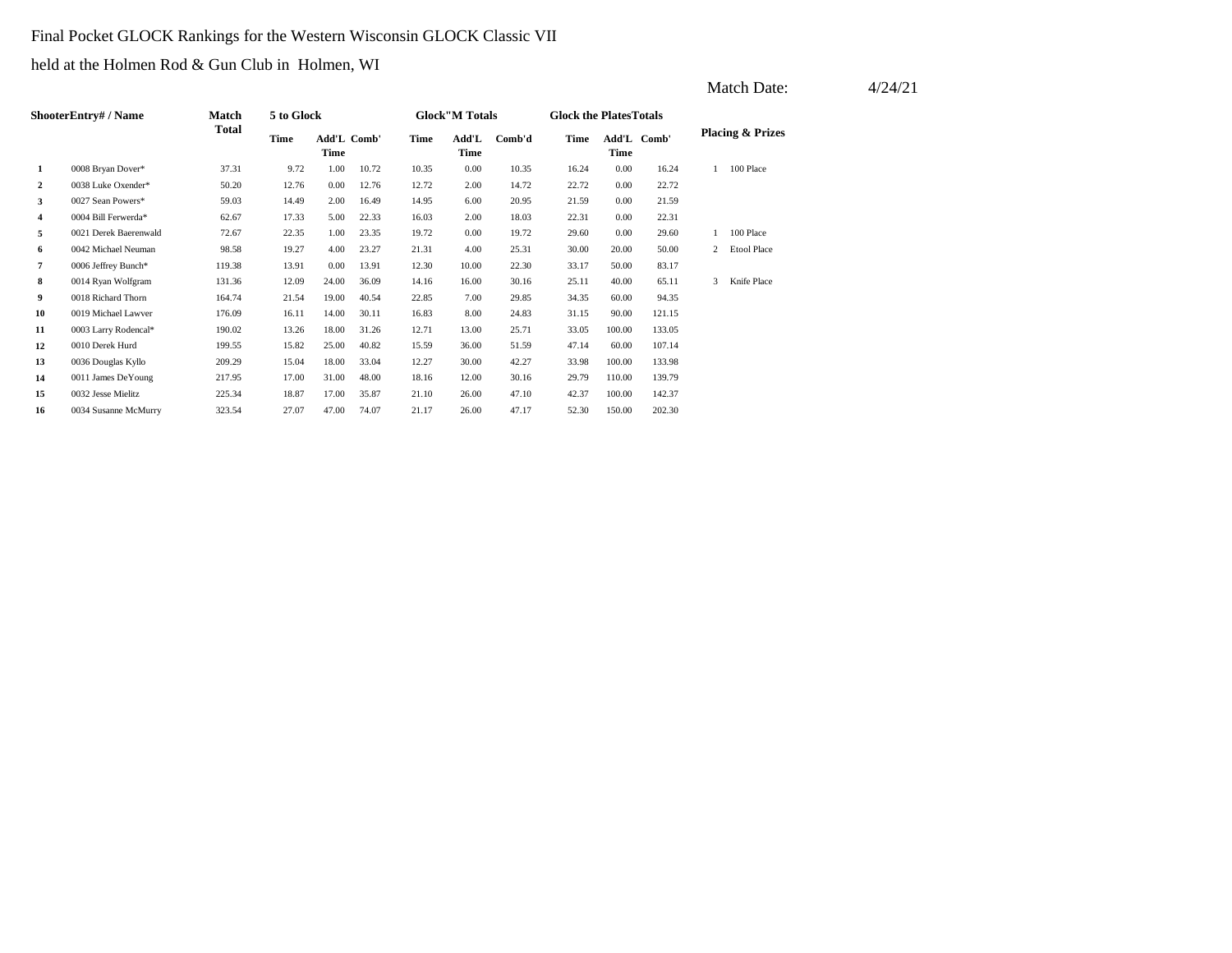### Final Pocket GLOCK Rankings for the Western Wisconsin GLOCK Classic VII

held at the Holmen Rod & Gun Club in Holmen, WI

|    |                           |              |            |                     |       |       |                        |        |                               |        |             |              | Match Date:                 | 4/24/21 |
|----|---------------------------|--------------|------------|---------------------|-------|-------|------------------------|--------|-------------------------------|--------|-------------|--------------|-----------------------------|---------|
|    | <b>ShooterEntry#/Name</b> | <b>Match</b> | 5 to Glock |                     |       |       | <b>Glock</b> "M Totals |        | <b>Glock the PlatesTotals</b> |        |             |              |                             |         |
|    |                           | Total        | Time       | Add'L Comb'<br>Time |       | Time  | Add'L<br>Time          | Comb'd | Time                          | Time   | Add'L Comb' |              | <b>Placing &amp; Prizes</b> |         |
| 1  | 0008 Bryan Dover*         | 37.31        | 9.72       | 1.00                | 10.72 | 10.35 | 0.00                   | 10.35  | 16.24                         | 0.00   | 16.24       |              | 100 Place                   |         |
| 2  | 0038 Luke Oxender*        | 50.20        | 12.76      | 0.00                | 12.76 | 12.72 | 2.00                   | 14.72  | 22.72                         | 0.00   | 22.72       |              |                             |         |
| 3  | 0027 Sean Powers*         | 59.03        | 14.49      | 2.00                | 16.49 | 14.95 | 6.00                   | 20.95  | 21.59                         | 0.00   | 21.59       |              |                             |         |
| 4  | 0004 Bill Ferwerda*       | 62.67        | 17.33      | 5.00                | 22.33 | 16.03 | 2.00                   | 18.03  | 22.31                         | 0.00   | 22.31       |              |                             |         |
| 5  | 0021 Derek Baerenwald     | 72.67        | 22.35      | 1.00                | 23.35 | 19.72 | 0.00                   | 19.72  | 29.60                         | 0.00   | 29.60       |              | 100 Place                   |         |
| 6  | 0042 Michael Neuman       | 98.58        | 19.27      | 4.00                | 23.27 | 21.31 | 4.00                   | 25.31  | 30.00                         | 20.00  | 50.00       | 2            | <b>Etool Place</b>          |         |
| 7  | 0006 Jeffrey Bunch*       | 119.38       | 13.91      | 0.00                | 13.91 | 12.30 | 10.00                  | 22.30  | 33.17                         | 50.00  | 83.17       |              |                             |         |
| 8  | 0014 Ryan Wolfgram        | 131.36       | 12.09      | 24.00               | 36.09 | 14.16 | 16.00                  | 30.16  | 25.11                         | 40.00  | 65.11       | $\mathbf{3}$ | Knife Place                 |         |
| 9  | 0018 Richard Thorn        | 164.74       | 21.54      | 19.00               | 40.54 | 22.85 | 7.00                   | 29.85  | 34.35                         | 60.00  | 94.35       |              |                             |         |
| 10 | 0019 Michael Lawver       | 176.09       | 16.11      | 14.00               | 30.11 | 16.83 | 8.00                   | 24.83  | 31.15                         | 90.00  | 121.15      |              |                             |         |
| 11 | 0003 Larry Rodencal*      | 190.02       | 13.26      | 18.00               | 31.26 | 12.71 | 13.00                  | 25.71  | 33.05                         | 100.00 | 133.05      |              |                             |         |
| 12 | 0010 Derek Hurd           | 199.55       | 15.82      | 25.00               | 40.82 | 15.59 | 36.00                  | 51.59  | 47.14                         | 60.00  | 107.14      |              |                             |         |
| 13 | 0036 Douglas Kyllo        | 209.29       | 15.04      | 18.00               | 33.04 | 12.27 | 30.00                  | 42.27  | 33.98                         | 100.00 | 133.98      |              |                             |         |
| 14 | 0011 James DeYoung        | 217.95       | 17.00      | 31.00               | 48.00 | 18.16 | 12.00                  | 30.16  | 29.79                         | 110.00 | 139.79      |              |                             |         |
| 15 | 0032 Jesse Mielitz        | 225.34       | 18.87      | 17.00               | 35.87 | 21.10 | 26.00                  | 47.10  | 42.37                         | 100.00 | 142.37      |              |                             |         |
| 16 | 0034 Susanne McMurry      | 323.54       | 27.07      | 47.00               | 74.07 | 21.17 | 26.00                  | 47.17  | 52.30                         | 150.00 | 202.30      |              |                             |         |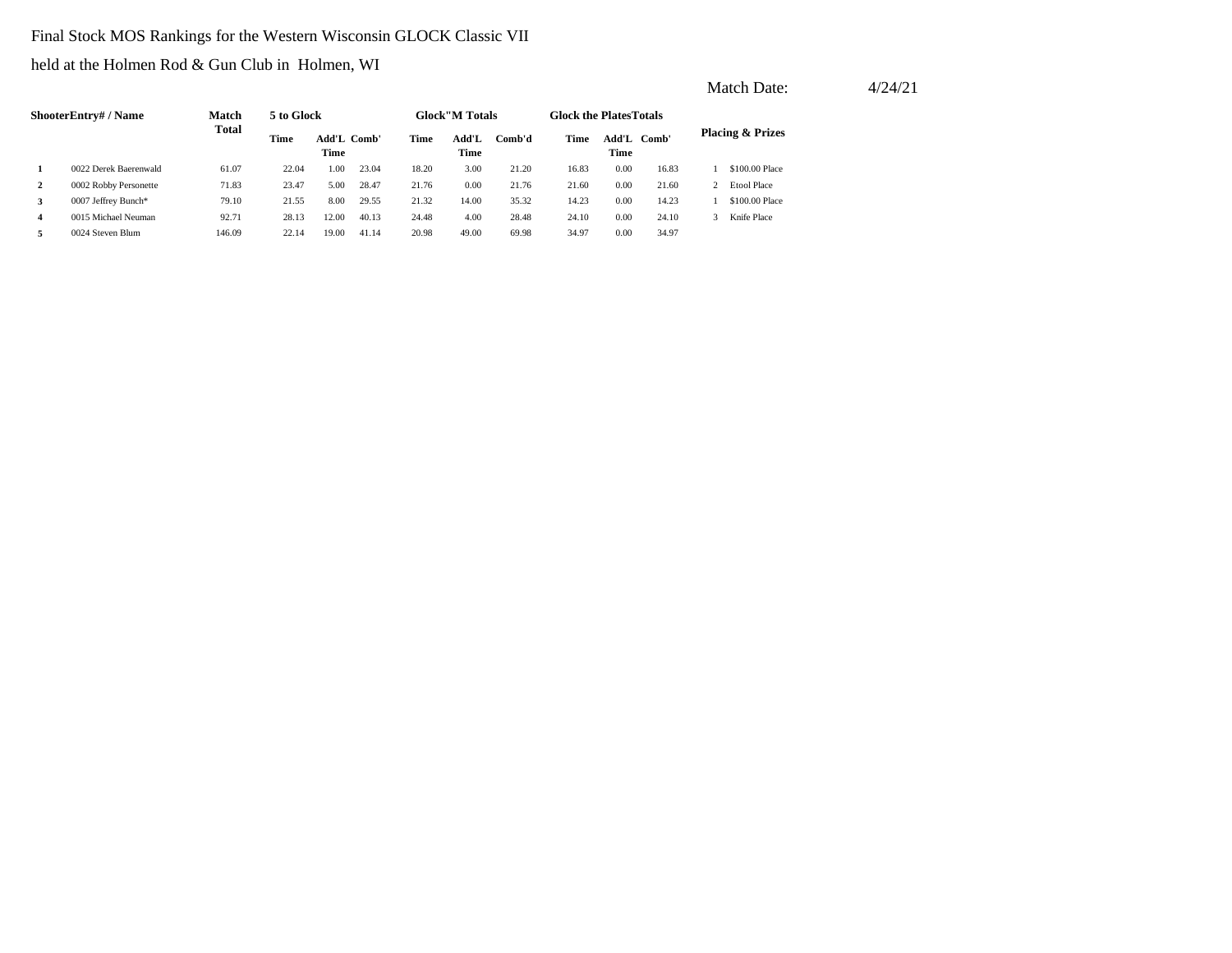#### Final Stock MOS Rankings for the Western Wisconsin GLOCK Classic VII

held at the Holmen Rod & Gun Club in Holmen, WI

|              | <b>ShooterEntry# / Name</b> | <b>Match</b> | 5 to Glock |                     |       |       | <b>Glock</b> "M Totals |        | <b>Glock the Plates Totals</b> |               |       |                             |
|--------------|-----------------------------|--------------|------------|---------------------|-------|-------|------------------------|--------|--------------------------------|---------------|-------|-----------------------------|
|              |                             | Total        | Time       | Add'L Comb'<br>Time |       | Time  | Add'L<br>Time          | Comb'd | Time                           | Add'L<br>Time | Comb' | <b>Placing &amp; Prizes</b> |
| $\mathbf{1}$ | 0022 Derek Baerenwald       | 61.07        | 22.04      | 00.1                | 23.04 | 18.20 | 3.00                   | 21.20  | 16.83                          | 0.00          | 16.83 | \$100,00 Place              |
| 2            | 0002 Robby Personette       | 71.83        | 23.47      | 5.00                | 28.47 | 21.76 | 0.00                   | 21.76  | 21.60                          | 0.00          | 21.60 | <b>Etool Place</b>          |
| 3            | 0007 Jeffrey Bunch*         | 79.10        | 21.55      | 8.00                | 29.55 | 21.32 | 14.00                  | 35.32  | 14.23                          | 0.00          | 14.23 | \$100,00 Place              |
| 4            | 0015 Michael Neuman         | 92.71        | 28.13      | 12.00               | 40.13 | 24.48 | 4.00                   | 28.48  | 24.10                          | 0.00          | 24.10 | Knife Place                 |
| 5.           | 0024 Steven Blum            | 146.09       | 22.14      | 19.00               | 41.14 | 20.98 | 49.00                  | 69.98  | 34.97                          | 0.00          | 34.97 |                             |

Match Date:  $4/24/21$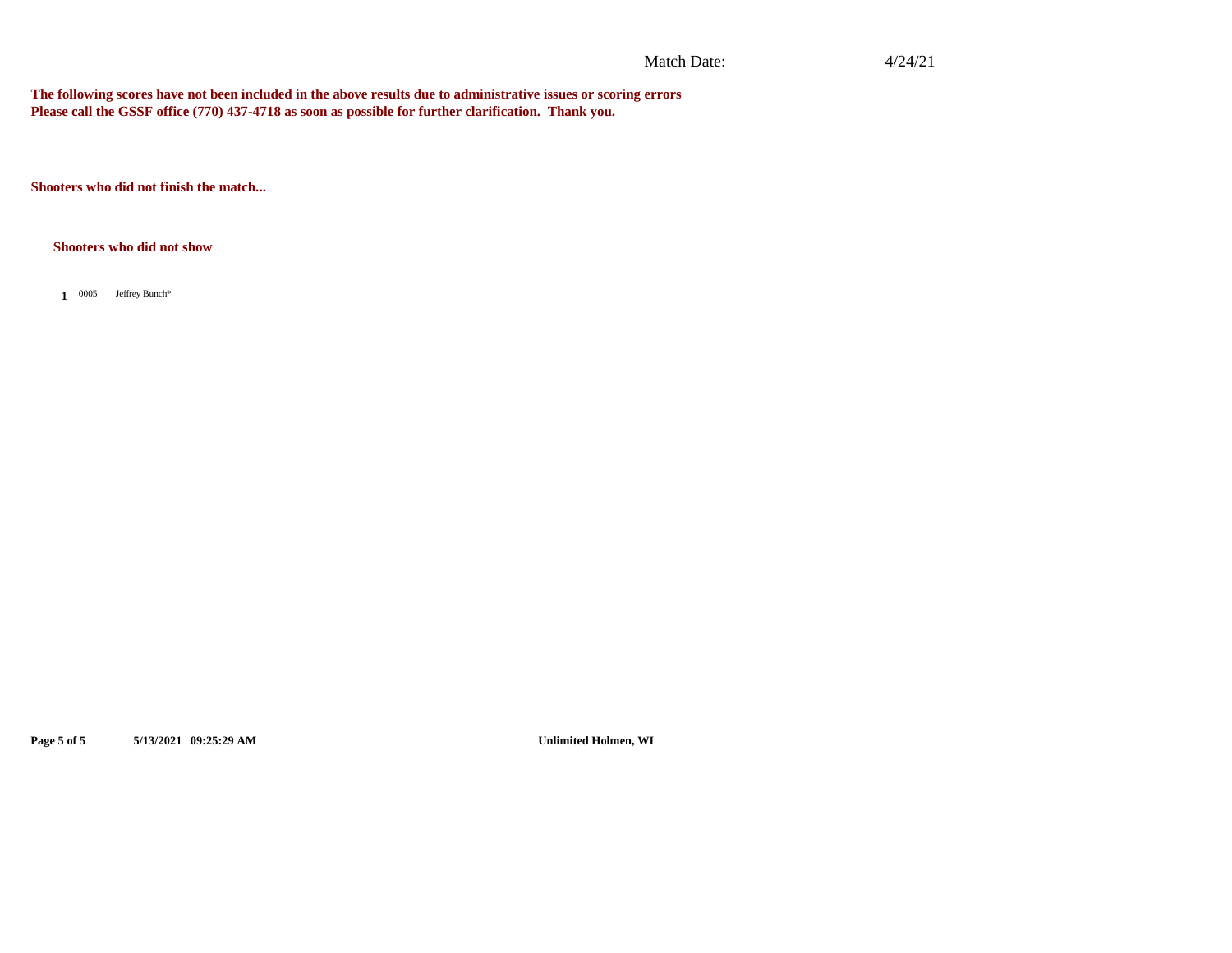#### Match Date:

#### 4/24/21

**The following scores have not been included in the above results due to administrative issues or scoring errors Please call the GSSF office (770) 437-4718 as soon as possible for further clarification. Thank you.**

**Shooters who did not finish the match...**

#### **Shooters who did not show**

1 0005 Jeffrey Bunch\*

**Page 5 of 5 5/13/2021 09:25:29 AM Unlimited Holmen, WI**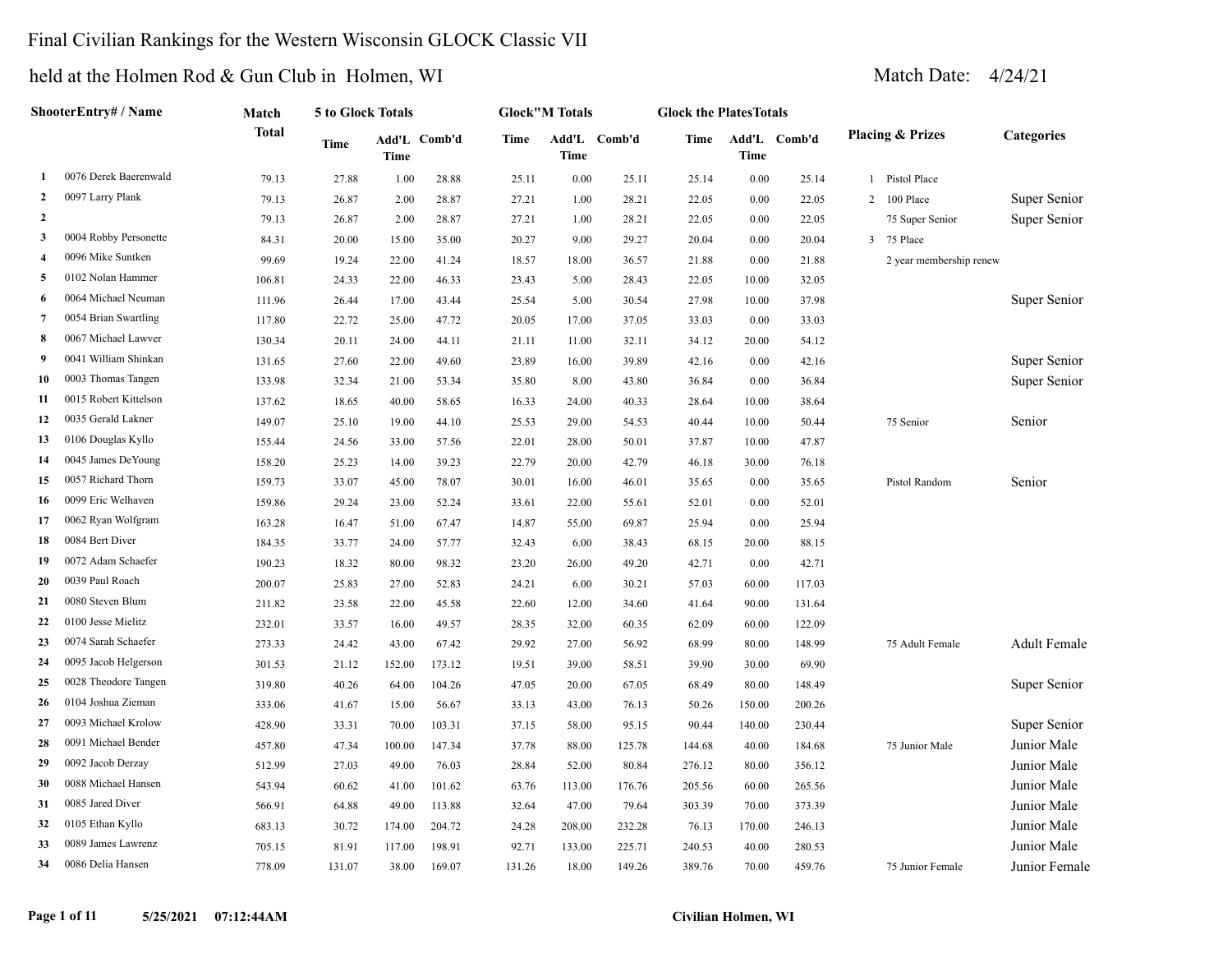### Final Civilian Rankings for the Western Wisconsin GLOCK Classic VII

### held at the Holmen Rod & Gun Club in Holmen, WI Match Date: 4/24/21

|                | ShooterEntry# / Name  | Match        | 5 to Glock Totals |                      |        |       | <b>Glock"M Totals</b> |              | <b>Glock the PlatesTotals</b> |        |              |                             |                     |
|----------------|-----------------------|--------------|-------------------|----------------------|--------|-------|-----------------------|--------------|-------------------------------|--------|--------------|-----------------------------|---------------------|
|                |                       | <b>Total</b> | Time              | Add'L Comb'd<br>Time |        | Time  | Time                  | Add'L Comb'd | Time                          | Time   | Add'L Comb'd | <b>Placing &amp; Prizes</b> | <b>Categories</b>   |
| 1              | 0076 Derek Baerenwald | 79.13        | 27.88             | 1.00                 | 28.88  | 25.11 | 0.00                  | 25.11        | 25.14                         | 0.00   | 25.14        | Pistol Place                |                     |
| $\mathbf{2}$   | 0097 Larry Plank      | 79.13        | 26.87             | 2.00                 | 28.87  | 27.21 | 1.00                  | 28.21        | 22.05                         | 0.00   | 22.05        | 2 100 Place                 | Super Senior        |
| $\mathbf{2}$   |                       | 79.13        | 26.87             | 2.00                 | 28.87  | 27.21 | 1.00                  | 28.21        | 22.05                         | 0.00   | 22.05        | 75 Super Senior             | Super Senior        |
| 3              | 0004 Robby Personette | 84.31        | 20.00             | 15.00                | 35.00  | 20.27 | 9.00                  | 29.27        | 20.04                         | 0.00   | 20.04        | 3 75 Place                  |                     |
| $\overline{4}$ | 0096 Mike Suntken     | 99.69        | 19.24             | 22.00                | 41.24  | 18.57 | 18.00                 | 36.57        | 21.88                         | 0.00   | 21.88        | 2 year membership renew     |                     |
| 5              | 0102 Nolan Hammer     | 106.81       | 24.33             | 22.00                | 46.33  | 23.43 | 5.00                  | 28.43        | 22.05                         | 10.00  | 32.05        |                             |                     |
| 6              | 0064 Michael Neuman   | 111.96       | 26.44             | 17.00                | 43.44  | 25.54 | 5.00                  | 30.54        | 27.98                         | 10.00  | 37.98        |                             | Super Senior        |
| 7              | 0054 Brian Swartling  | 117.80       | 22.72             | 25.00                | 47.72  | 20.05 | 17.00                 | 37.05        | 33.03                         | 0.00   | 33.03        |                             |                     |
| 8              | 0067 Michael Lawver   | 130.34       | 20.11             | 24.00                | 44.11  | 21.11 | 11.00                 | 32.11        | 34.12                         | 20.00  | 54.12        |                             |                     |
| 9              | 0041 William Shinkan  | 131.65       | 27.60             | 22.00                | 49.60  | 23.89 | 16.00                 | 39.89        | 42.16                         | 0.00   | 42.16        |                             | Super Senior        |
| 10             | 0003 Thomas Tangen    | 133.98       | 32.34             | 21.00                | 53.34  | 35.80 | 8.00                  | 43.80        | 36.84                         | 0.00   | 36.84        |                             | Super Senior        |
| 11             | 0015 Robert Kittelson | 137.62       | 18.65             | 40.00                | 58.65  | 16.33 | 24.00                 | 40.33        | 28.64                         | 10.00  | 38.64        |                             |                     |
| 12             | 0035 Gerald Lakner    | 149.07       | 25.10             | 19.00                | 44.10  | 25.53 | 29.00                 | 54.53        | 40.44                         | 10.00  | 50.44        | 75 Senior                   | Senior              |
| 13             | 0106 Douglas Kyllo    | 155.44       | 24.56             | 33.00                | 57.56  | 22.01 | 28.00                 | 50.01        | 37.87                         | 10.00  | 47.87        |                             |                     |
| 14             | 0045 James DeYoung    | 158.20       | 25.23             | 14.00                | 39.23  | 22.79 | 20.00                 | 42.79        | 46.18                         | 30.00  | 76.18        |                             |                     |
| 15             | 0057 Richard Thorn    | 159.73       | 33.07             | 45.00                | 78.07  | 30.01 | 16.00                 | 46.01        | 35.65                         | 0.00   | 35.65        | Pistol Random               | Senior              |
| 16             | 0099 Eric Welhaven    | 159.86       | 29.24             | 23.00                | 52.24  | 33.61 | 22.00                 | 55.61        | 52.01                         | 0.00   | 52.01        |                             |                     |
| 17             | 0062 Ryan Wolfgram    | 163.28       | 16.47             | 51.00                | 67.47  | 14.87 | 55.00                 | 69.87        | 25.94                         | 0.00   | 25.94        |                             |                     |
| 18             | 0084 Bert Diver       | 184.35       | 33.77             | 24.00                | 57.77  | 32.43 | 6.00                  | 38.43        | 68.15                         | 20.00  | 88.15        |                             |                     |
| 19             | 0072 Adam Schaefer    | 190.23       | 18.32             | 80.00                | 98.32  | 23.20 | 26.00                 | 49.20        | 42.71                         | 0.00   | 42.71        |                             |                     |
| 20             | 0039 Paul Roach       | 200.07       | 25.83             | 27.00                | 52.83  | 24.21 | 6.00                  | 30.21        | 57.03                         | 60.00  | 117.03       |                             |                     |
| 21             | 0080 Steven Blum      | 211.82       | 23.58             | 22.00                | 45.58  | 22.60 | 12.00                 | 34.60        | 41.64                         | 90.00  | 131.64       |                             |                     |
| 22             | 0100 Jesse Mielitz    | 232.01       | 33.57             | 16.00                | 49.57  | 28.35 | 32.00                 | 60.35        | 62.09                         | 60.00  | 122.09       |                             |                     |
| 23             | 0074 Sarah Schaefer   | 273.33       | 24.42             | 43.00                | 67.42  | 29.92 | 27.00                 | 56.92        | 68.99                         | 80.00  | 148.99       | 75 Adult Female             | <b>Adult Female</b> |
| 24             | 0095 Jacob Helgerson  | 301.53       | 21.12             | 152.00               | 173.12 | 19.51 | 39.00                 | 58.51        | 39.90                         | 30.00  | 69.90        |                             |                     |
| 25             | 0028 Theodore Tangen  | 319.80       | 40.26             | 64.00                | 104.26 | 47.05 | 20.00                 | 67.05        | 68.49                         | 80.00  | 148.49       |                             | Super Senior        |
| 26             | 0104 Joshua Zieman    | 333.06       | 41.67             | 15.00                | 56.67  | 33.13 | 43.00                 | 76.13        | 50.26                         | 150.00 | 200.26       |                             |                     |
| 27             | 0093 Michael Krolow   | 428.90       | 33.31             | 70.00                | 103.31 | 37.15 | 58.00                 | 95.15        | 90.44                         | 140.00 | 230.44       |                             | Super Senior        |
| 28             | 0091 Michael Bender   | 457.80       | 47.34             | 100.00               | 147.34 | 37.78 | 88.00                 | 125.78       | 144.68                        | 40.00  | 184.68       | 75 Junior Male              | Junior Male         |
| 29             | 0092 Jacob Derzay     | 512.99       | 27.03             | 49.00                | 76.03  | 28.84 | 52.00                 | 80.84        | 276.12                        | 80.00  | 356.12       |                             | Junior Male         |
| 30             | 0088 Michael Hansen   | 543.94       | 60.62             | 41.00                | 101.62 | 63.76 | 113.00                | 176.76       | 205.56                        | 60.00  | 265.56       |                             | Junior Male         |
| 31             | 0085 Jared Diver      | 566.91       | 64.88             | 49.00                | 113.88 | 32.64 | 47.00                 | 79.64        | 303.39                        | 70.00  | 373.39       |                             | Junior Male         |

 0105 Ethan Kyllo 683.13 30.72 174.00 204.72 24.28 208.00 232.28 76.13 170.00 246.13 Junior Male 0089 James Lawrenz 705.15 81.91 117.00 198.91 92.71 133.00 225.71 240.53 40.00 280.53 Junior Male 0086 Delia Hansen 778.09 131.07 38.00 169.07 131.26 18.00 149.26 389.76 70.00 459.76 75 Junior Female Junior Female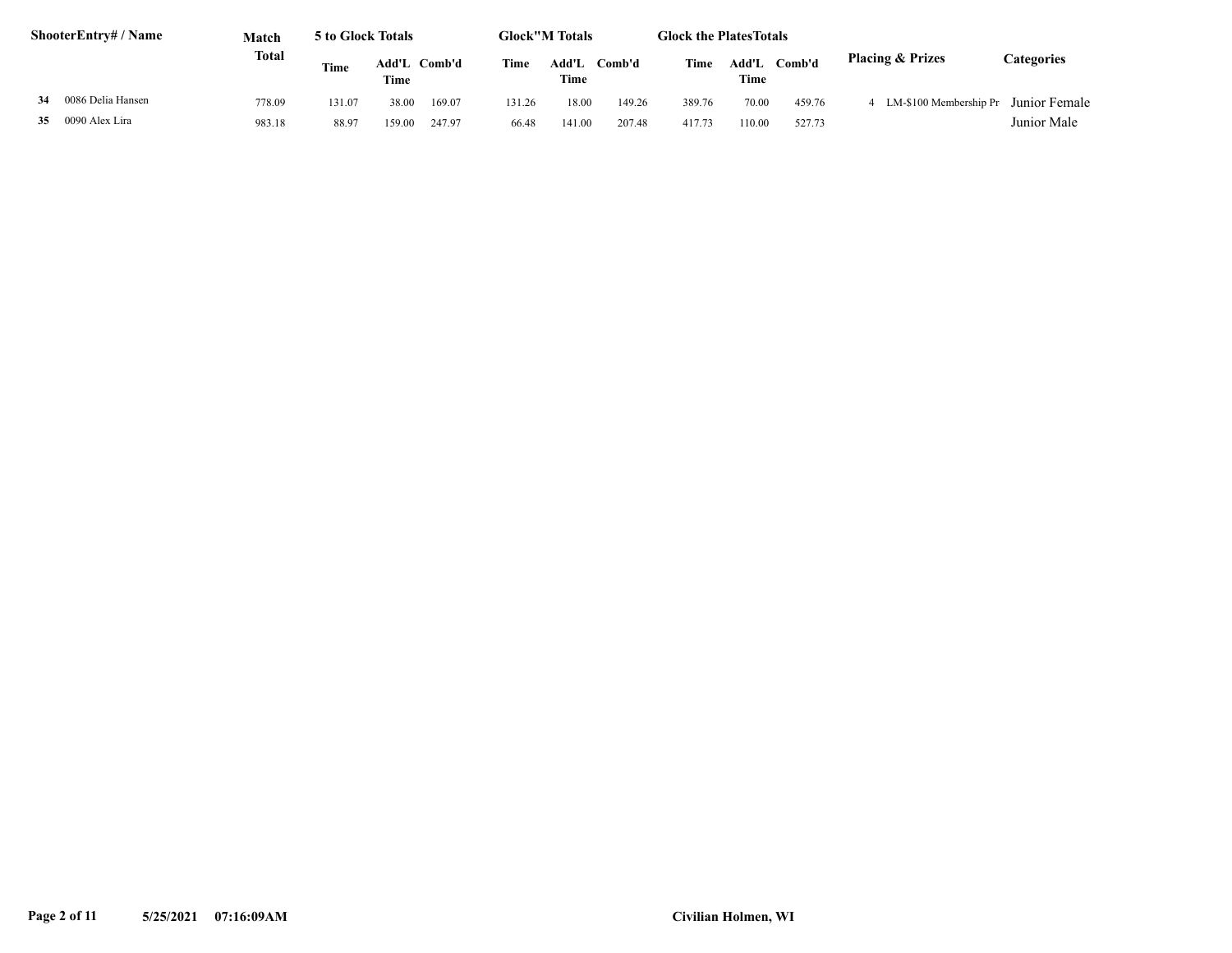| <b>ShooterEntry#/Name</b> | Match        | 5 to Glock Totals |               |        |        | <b>Glock"M Totals</b> |        | <b>Glock the PlatesTotals</b> |               |        |                             |                   |
|---------------------------|--------------|-------------------|---------------|--------|--------|-----------------------|--------|-------------------------------|---------------|--------|-----------------------------|-------------------|
|                           | <b>Total</b> | Time              | Add'L<br>Time | Comb'd | Time   | Add'L<br>Time         | Comb'd | Time                          | Add'L<br>Time | Comb'd | <b>Placing &amp; Prizes</b> | <b>Categories</b> |
| 0086 Delia Hansen<br>34   | 778.09       | 131.07            | 38.00         | 169.07 | 131.26 | 18.00                 | 149.26 | 389.76                        | 70.00         | 459.76 | LM-\$100 Membership Pr      | Junior Female     |
| 0090 Alex Lira<br>35      | 983.18       | 88.97             | 159.00        | 247.97 | 66.48  | 141.00                | 207.48 | 417.73                        | 110.00        | 527.73 |                             | Junior Male       |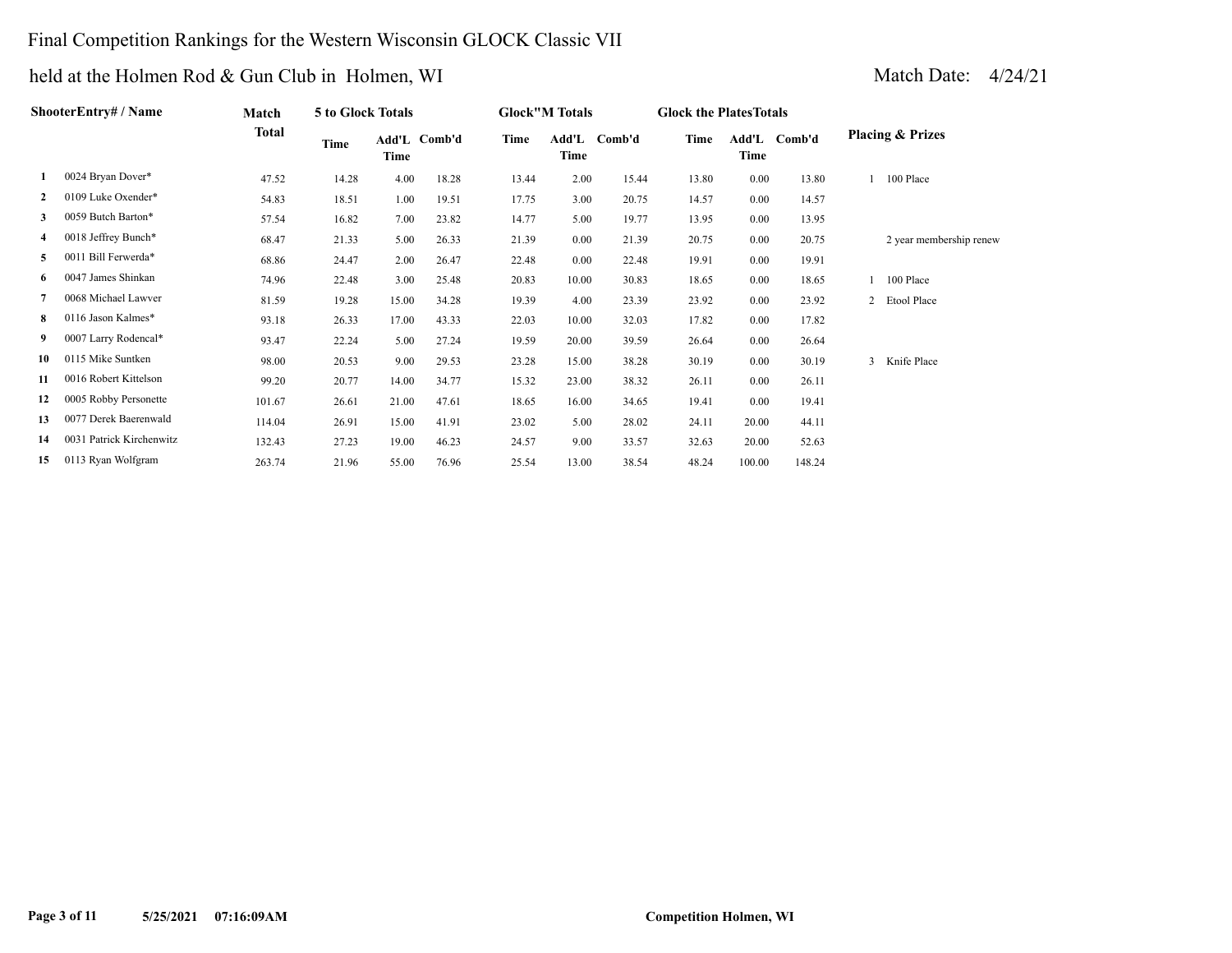# Final Competition Rankings for the Western Wisconsin GLOCK Classic VII

|              | ShooterEntry# / Name     | Match  | 5 to Glock Totals |       |              |       | <b>Glock"M Totals</b> |              | <b>Glock the Plates Totals</b> |        |              |                             |
|--------------|--------------------------|--------|-------------------|-------|--------------|-------|-----------------------|--------------|--------------------------------|--------|--------------|-----------------------------|
|              |                          | Total  | Time              | Time  | Add'L Comb'd | Time  | Time                  | Add'L Comb'd | Time                           | Time   | Add'L Comb'd | <b>Placing &amp; Prizes</b> |
|              | 0024 Bryan Dover*        | 47.52  | 14.28             | 4.00  | 18.28        | 13.44 | 2.00                  | 15.44        | 13.80                          | 0.00   | 13.80        | 100 Place                   |
| $\mathbf{2}$ | 0109 Luke Oxender*       | 54.83  | 18.51             | 1.00  | 19.51        | 17.75 | 3.00                  | 20.75        | 14.57                          | 0.00   | 14.57        |                             |
| 3            | 0059 Butch Barton*       | 57.54  | 16.82             | 7.00  | 23.82        | 14.77 | 5.00                  | 19.77        | 13.95                          | 0.00   | 13.95        |                             |
| 4            | 0018 Jeffrey Bunch*      | 68.47  | 21.33             | 5.00  | 26.33        | 21.39 | $0.00\,$              | 21.39        | 20.75                          | 0.00   | 20.75        | 2 year membership renew     |
| 5            | 0011 Bill Ferwerda*      | 68.86  | 24.47             | 2.00  | 26.47        | 22.48 | $0.00\,$              | 22.48        | 19.91                          | 0.00   | 19.91        |                             |
| 6            | 0047 James Shinkan       | 74.96  | 22.48             | 3.00  | 25.48        | 20.83 | 10.00                 | 30.83        | 18.65                          | 0.00   | 18.65        | 100 Place                   |
| 7            | 0068 Michael Lawver      | 81.59  | 19.28             | 15.00 | 34.28        | 19.39 | 4.00                  | 23.39        | 23.92                          | 0.00   | 23.92        | 2 Etool Place               |
| 8            | 0116 Jason Kalmes*       | 93.18  | 26.33             | 17.00 | 43.33        | 22.03 | 10.00                 | 32.03        | 17.82                          | 0.00   | 17.82        |                             |
| 9            | 0007 Larry Rodencal*     | 93.47  | 22.24             | 5.00  | 27.24        | 19.59 | 20.00                 | 39.59        | 26.64                          | 0.00   | 26.64        |                             |
| 10           | 0115 Mike Suntken        | 98.00  | 20.53             | 9.00  | 29.53        | 23.28 | 15.00                 | 38.28        | 30.19                          | 0.00   | 30.19        | 3 Knife Place               |
| 11           | 0016 Robert Kittelson    | 99.20  | 20.77             | 14.00 | 34.77        | 15.32 | 23.00                 | 38.32        | 26.11                          | 0.00   | 26.11        |                             |
| 12           | 0005 Robby Personette    | 101.67 | 26.61             | 21.00 | 47.61        | 18.65 | 16.00                 | 34.65        | 19.41                          | 0.00   | 19.41        |                             |
| 13           | 0077 Derek Baerenwald    | 114.04 | 26.91             | 15.00 | 41.91        | 23.02 | 5.00                  | 28.02        | 24.11                          | 20.00  | 44.11        |                             |
| 14           | 0031 Patrick Kirchenwitz | 132.43 | 27.23             | 19.00 | 46.23        | 24.57 | 9.00                  | 33.57        | 32.63                          | 20.00  | 52.63        |                             |
| 15           | 0113 Ryan Wolfgram       | 263.74 | 21.96             | 55.00 | 76.96        | 25.54 | 13.00                 | 38.54        | 48.24                          | 100.00 | 148.24       |                             |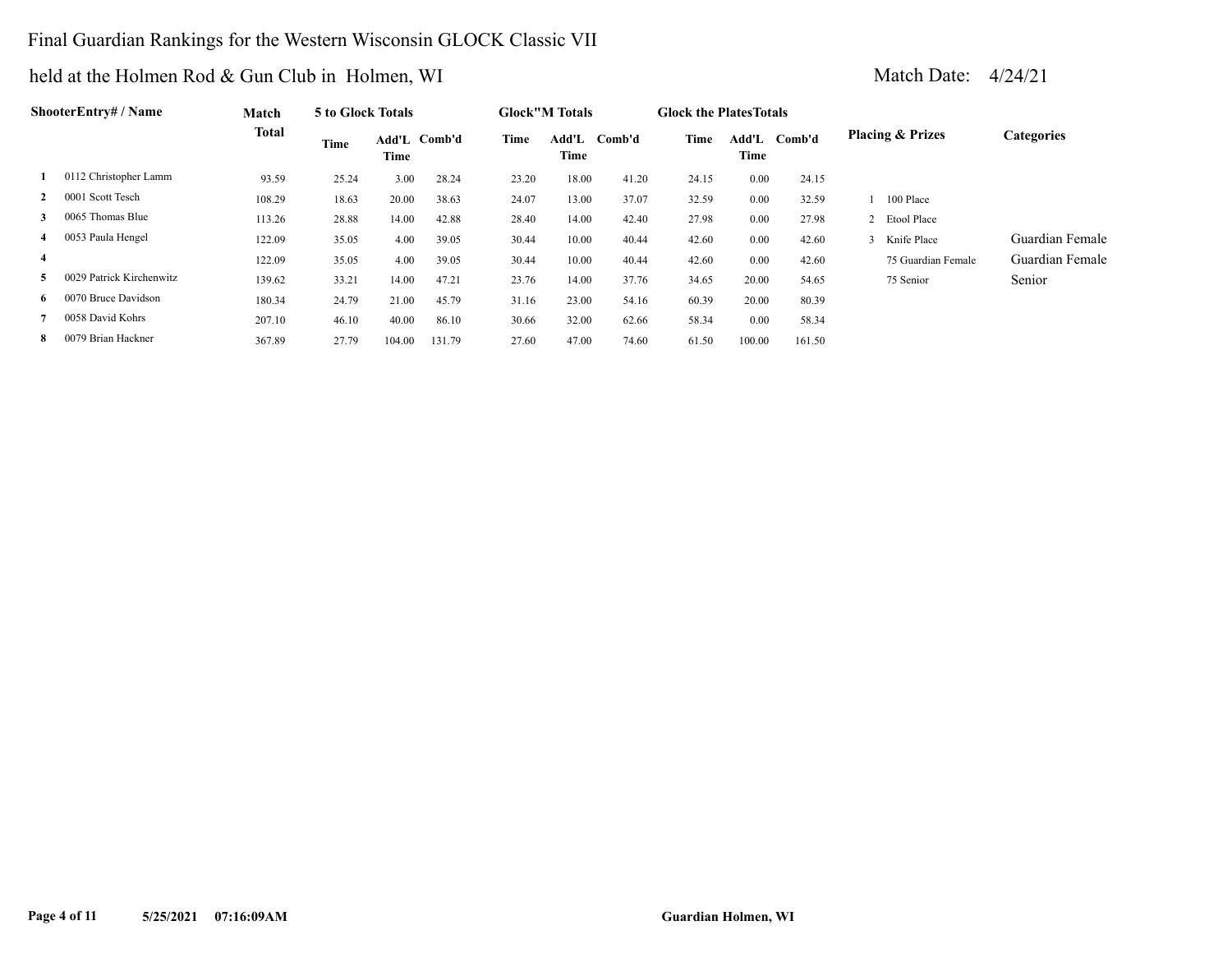## Final Guardian Rankings for the Western Wisconsin GLOCK Classic VII

|                | ShooterEntry# / Name     | Match  | 5 to Glock Totals |                      |        |       | <b>Glock</b> "M Totals |        | <b>Glock the Plates Totals</b> |               |        |   |                             |                   |
|----------------|--------------------------|--------|-------------------|----------------------|--------|-------|------------------------|--------|--------------------------------|---------------|--------|---|-----------------------------|-------------------|
|                |                          | Total  | Time              | Add'L Comb'd<br>Time |        | Time  | Add'L<br>Time          | Comb'd | Time                           | Add'L<br>Time | Comb'd |   | <b>Placing &amp; Prizes</b> | <b>Categories</b> |
|                | 0112 Christopher Lamm    | 93.59  | 25.24             | 3.00                 | 28.24  | 23.20 | 18.00                  | 41.20  | 24.15                          | 0.00          | 24.15  |   |                             |                   |
|                | 0001 Scott Tesch         | 108.29 | 18.63             | 20.00                | 38.63  | 24.07 | 13.00                  | 37.07  | 32.59                          | 0.00          | 32.59  |   | 100 Place                   |                   |
| 3              | 0065 Thomas Blue         | 113.26 | 28.88             | 14.00                | 42.88  | 28.40 | 14.00                  | 42.40  | 27.98                          | 0.00          | 27.98  |   | 2 Etool Place               |                   |
| 4              | 0053 Paula Hengel        | 122.09 | 35.05             | 4.00                 | 39.05  | 30.44 | 10.00                  | 40.44  | 42.60                          | 0.00          | 42.60  | 3 | Knife Place                 | Guardian Female   |
| $\overline{4}$ |                          | 122.09 | 35.05             | 4.00                 | 39.05  | 30.44 | 10.00                  | 40.44  | 42.60                          | 0.00          | 42.60  |   | 75 Guardian Female          | Guardian Female   |
| 5.             | 0029 Patrick Kirchenwitz | 139.62 | 33.21             | 14.00                | 47.21  | 23.76 | 14.00                  | 37.76  | 34.65                          | 20.00         | 54.65  |   | 75 Senior                   | Senior            |
| 6              | 0070 Bruce Davidson      | 180.34 | 24.79             | 21.00                | 45.79  | 31.16 | 23.00                  | 54.16  | 60.39                          | 20.00         | 80.39  |   |                             |                   |
|                | 0058 David Kohrs         | 207.10 | 46.10             | 40.00                | 86.10  | 30.66 | 32.00                  | 62.66  | 58.34                          | 0.00          | 58.34  |   |                             |                   |
| 8              | 0079 Brian Hackner       | 367.89 | 27.79             | 104.00               | 131.79 | 27.60 | 47.00                  | 74.60  | 61.50                          | 100.00        | 161.50 |   |                             |                   |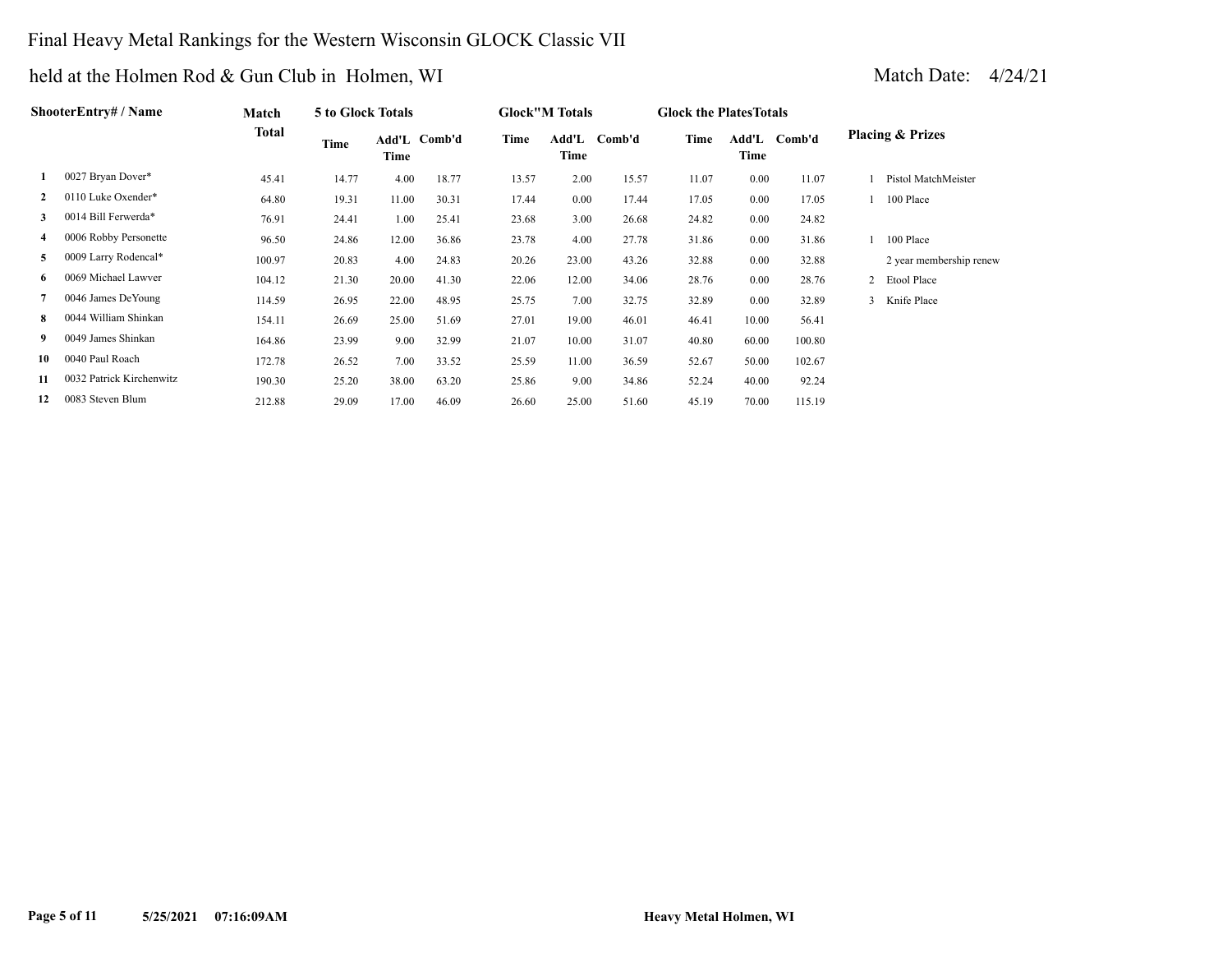# Final Heavy Metal Rankings for the Western Wisconsin GLOCK Classic VII

|              | ShooterEntrv# / Name     | Match  | 5 to Glock Totals |                      |       |       | <b>Glock"M Totals</b> |        | <b>Glock the Plates Totals</b> |               |        |                             |
|--------------|--------------------------|--------|-------------------|----------------------|-------|-------|-----------------------|--------|--------------------------------|---------------|--------|-----------------------------|
|              |                          | Total  | Time              | Add'L Comb'd<br>Time |       | Time  | Add'L<br>Time         | Comb'd | Time                           | Add'L<br>Time | Comb'd | <b>Placing &amp; Prizes</b> |
|              | 0027 Bryan Dover*        | 45.41  | 14.77             | 4.00                 | 18.77 | 13.57 | 2.00                  | 15.57  | 11.07                          | 0.00          | 11.07  | Pistol MatchMeister         |
| $\mathbf{2}$ | 0110 Luke Oxender*       | 64.80  | 19.31             | 11.00                | 30.31 | 17.44 | $0.00\,$              | 17.44  | 17.05                          | 0.00          | 17.05  | 100 Place                   |
| 3            | 0014 Bill Ferwerda*      | 76.91  | 24.41             | 1.00                 | 25.41 | 23.68 | 3.00                  | 26.68  | 24.82                          | 0.00          | 24.82  |                             |
| 4            | 0006 Robby Personette    | 96.50  | 24.86             | 12.00                | 36.86 | 23.78 | 4.00                  | 27.78  | 31.86                          | 0.00          | 31.86  | 100 Place                   |
| 5            | 0009 Larry Rodencal*     | 100.97 | 20.83             | 4.00                 | 24.83 | 20.26 | 23.00                 | 43.26  | 32.88                          | 0.00          | 32.88  | 2 year membership renew     |
| 6            | 0069 Michael Lawver      | 104.12 | 21.30             | 20.00                | 41.30 | 22.06 | 12.00                 | 34.06  | 28.76                          | 0.00          | 28.76  | 2 Etool Place               |
| 7            | 0046 James DeYoung       | 114.59 | 26.95             | 22.00                | 48.95 | 25.75 | 7.00                  | 32.75  | 32.89                          | 0.00          | 32.89  | 3 Knife Place               |
| 8            | 0044 William Shinkan     | 154.11 | 26.69             | 25.00                | 51.69 | 27.01 | 19.00                 | 46.01  | 46.41                          | 10.00         | 56.41  |                             |
| 9            | 0049 James Shinkan       | 164.86 | 23.99             | 9.00                 | 32.99 | 21.07 | 10.00                 | 31.07  | 40.80                          | 60.00         | 100.80 |                             |
| 10           | 0040 Paul Roach          | 172.78 | 26.52             | 7.00                 | 33.52 | 25.59 | 11.00                 | 36.59  | 52.67                          | 50.00         | 102.67 |                             |
| 11           | 0032 Patrick Kirchenwitz | 190.30 | 25.20             | 38.00                | 63.20 | 25.86 | 9.00                  | 34.86  | 52.24                          | 40.00         | 92.24  |                             |
| 12           | 0083 Steven Blum         | 212.88 | 29.09             | 17.00                | 46.09 | 26.60 | 25.00                 | 51.60  | 45.19                          | 70.00         | 115.19 |                             |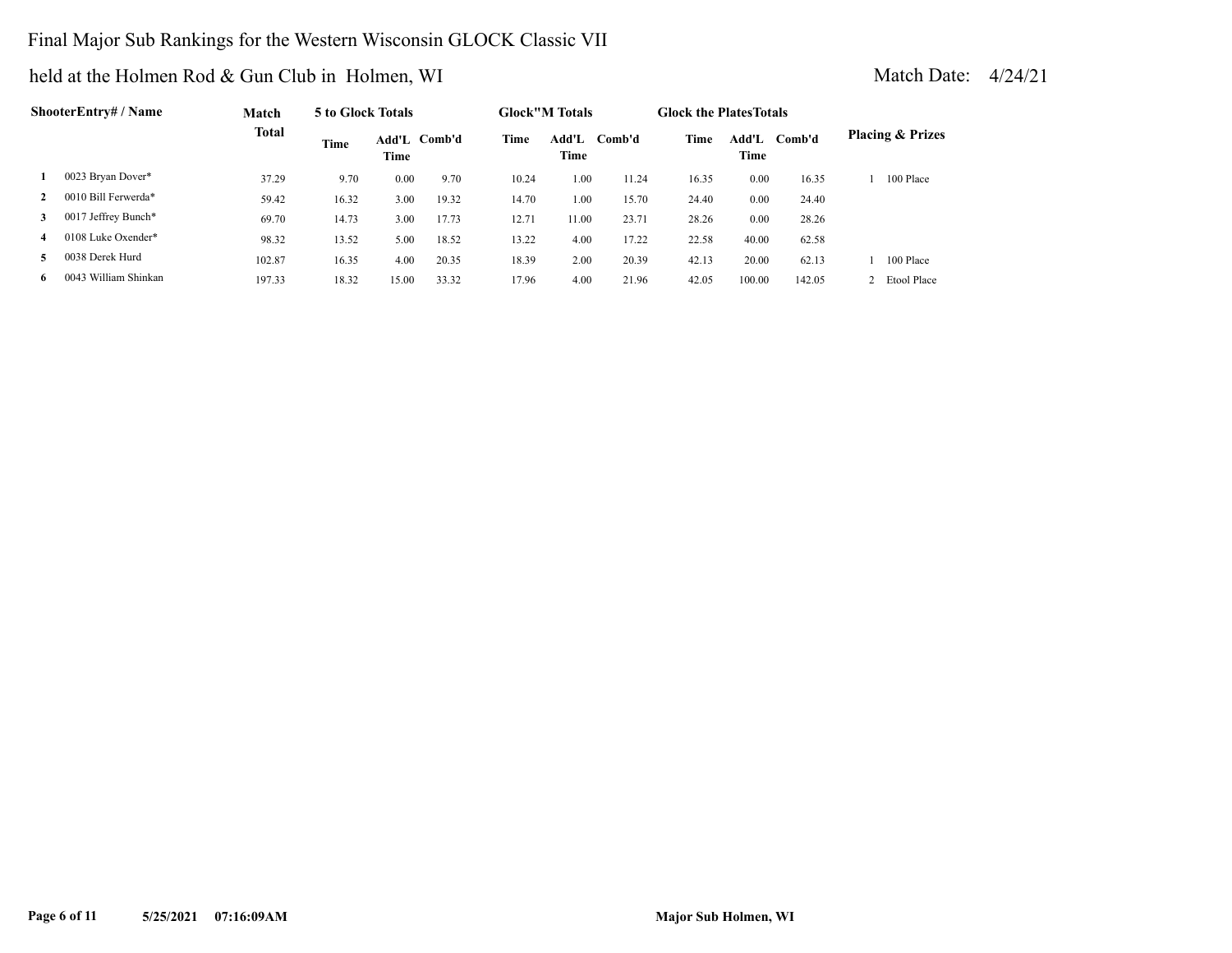## Final Major Sub Rankings for the Western Wisconsin GLOCK Classic VII

|              | ShooterEntrv# / Name | Match        | 5 to Glock Totals |       |              |       | <b>Glock</b> "M Totals |        | <b>Glock the Plates Totals</b> |               |        |                             |
|--------------|----------------------|--------------|-------------------|-------|--------------|-------|------------------------|--------|--------------------------------|---------------|--------|-----------------------------|
|              |                      | <b>Total</b> | Time              | Time  | Add'L Comb'd | Time  | Add'L<br>Time          | Comb'd | Time                           | Add'L<br>Time | Comb'd | <b>Placing &amp; Prizes</b> |
|              | 0023 Bryan Dover*    | 37.29        | 9.70              | 0.00  | 9.70         | 10.24 | 1.00                   | 11.24  | 16.35                          | 0.00          | 16.35  | 100 Place                   |
| $\mathbf{2}$ | 0010 Bill Ferwerda*  | 59.42        | 16.32             | 3.00  | 19.32        | 14.70 | 1.00                   | 15.70  | 24.40                          | 0.00          | 24.40  |                             |
| 3            | 0017 Jeffrey Bunch*  | 69.70        | 14.73             | 3.00  | 17.73        | 12.71 | 11.00                  | 23.71  | 28.26                          | 0.00          | 28.26  |                             |
| 4            | 0108 Luke Oxender*   | 98.32        | 13.52             | 5.00  | 18.52        | 13.22 | 4.00                   | 17.22  | 22.58                          | 40.00         | 62.58  |                             |
|              | 0038 Derek Hurd      | 102.87       | 16.35             | 4.00  | 20.35        | 18.39 | 2.00                   | 20.39  | 42.13                          | 20.00         | 62.13  | 100 Place                   |
| 6.           | 0043 William Shinkan | 197.33       | 18.32             | 15.00 | 33.32        | 17.96 | 4.00                   | 21.96  | 42.05                          | 100.00        | 142.05 | Etool Place                 |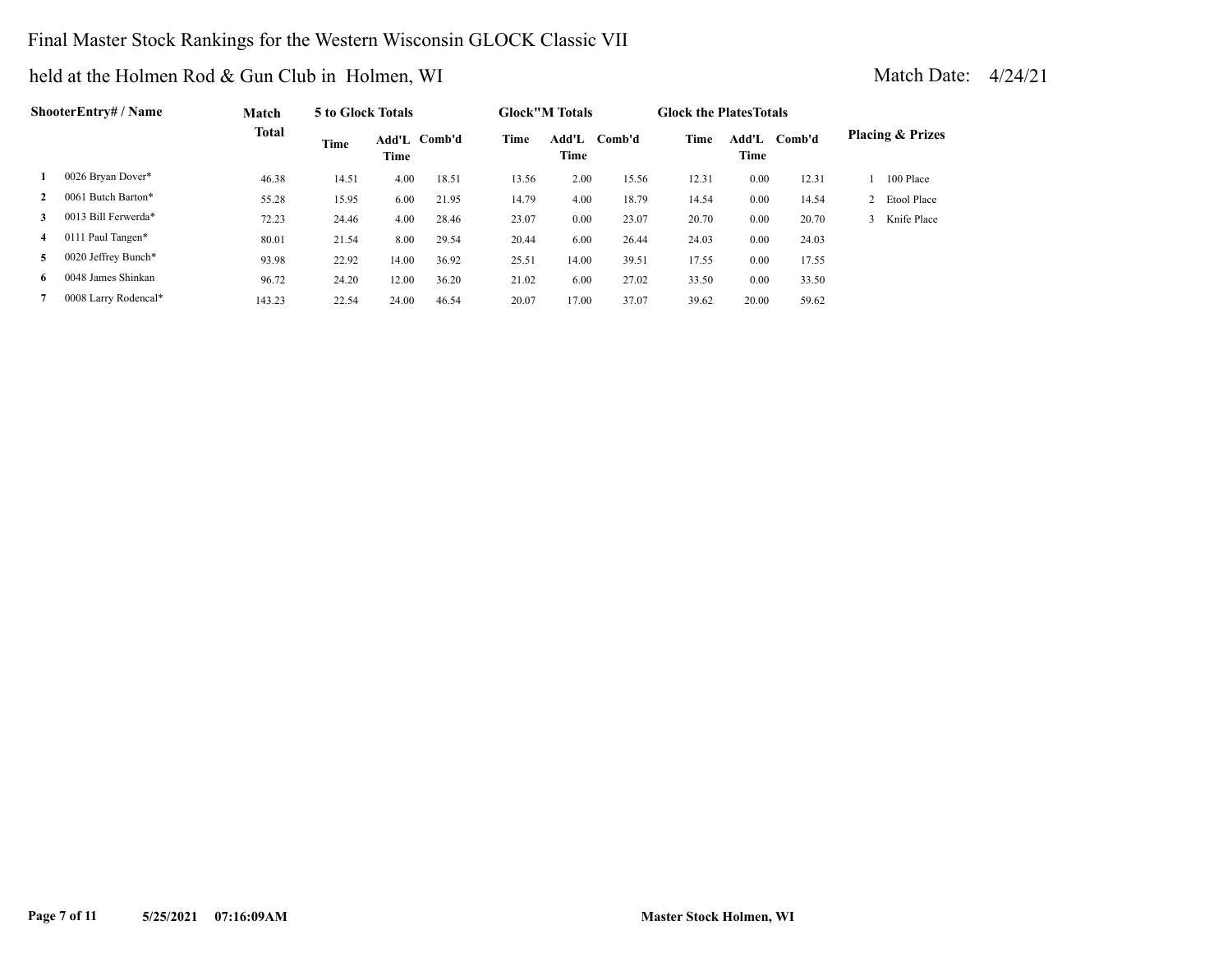# Final Master Stock Rankings for the Western Wisconsin GLOCK Classic VII

|              | ShooterEntry# / Name | <b>Match</b> | 5 to Glock Totals |               |        |       | <b>Glock</b> "M Totals |        | <b>Glock the Plates Totals</b> |               |        |                             |
|--------------|----------------------|--------------|-------------------|---------------|--------|-------|------------------------|--------|--------------------------------|---------------|--------|-----------------------------|
|              |                      | <b>Total</b> | Time              | Add'L<br>Time | Comb'd | Time  | Add'L<br>Time          | Comb'd | Time                           | Add'L<br>Time | Comb'd | <b>Placing &amp; Prizes</b> |
|              | 0026 Bryan Dover*    | 46.38        | 14.51             | 4.00          | 18.51  | 13.56 | 2.00                   | 15.56  | 12.31                          | 0.00          | 12.31  | 100 Place                   |
| $\mathbf{2}$ | 0061 Butch Barton*   | 55.28        | 15.95             | 6.00          | 21.95  | 14.79 | 4.00                   | 18.79  | 14.54                          | 0.00          | 14.54  | 2 Etool Place               |
| 3            | 0013 Bill Ferwerda*  | 72.23        | 24.46             | 4.00          | 28.46  | 23.07 | 0.00                   | 23.07  | 20.70                          | 0.00          | 20.70  | Knife Place                 |
| 4            | 0111 Paul Tangen*    | 80.01        | 21.54             | 8.00          | 29.54  | 20.44 | 6.00                   | 26.44  | 24.03                          | 0.00          | 24.03  |                             |
| 5            | 0020 Jeffrey Bunch*  | 93.98        | 22.92             | 14.00         | 36.92  | 25.51 | 14.00                  | 39.51  | 17.55                          | 0.00          | 17.55  |                             |
| 6.           | 0048 James Shinkan   | 96.72        | 24.20             | 12.00         | 36.20  | 21.02 | 6.00                   | 27.02  | 33.50                          | 0.00          | 33.50  |                             |
|              | 0008 Larry Rodencal* | 143.23       | 22.54             | 24.00         | 46.54  | 20.07 | 17.00                  | 37.07  | 39.62                          | 20.00         | 59.62  |                             |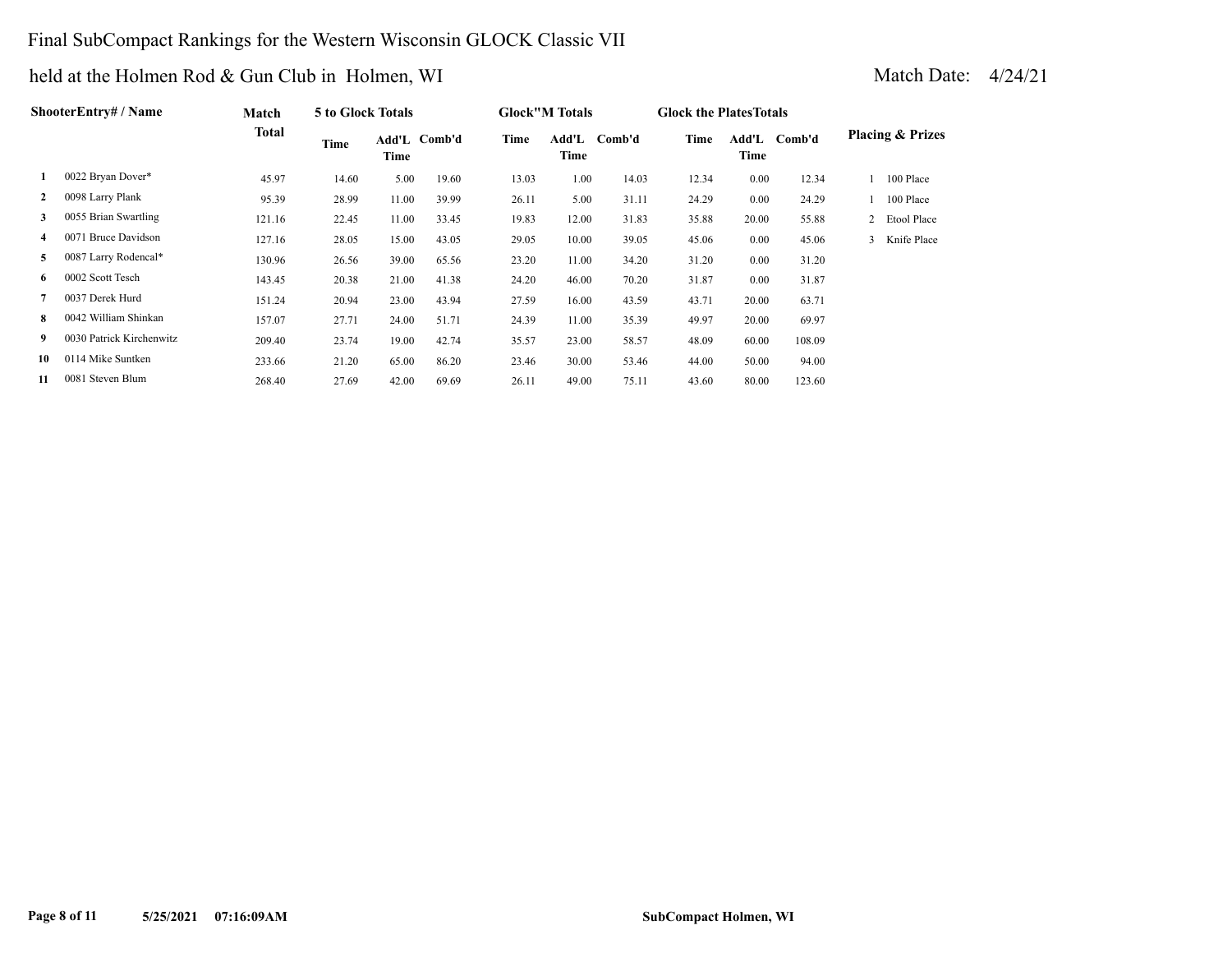## Final SubCompact Rankings for the Western Wisconsin GLOCK Classic VII

|              | <b>ShooterEntry# / Name</b> | Match        | 5 to Glock Totals |       |              |       | <b>Glock</b> "M Totals |              | <b>Glock the Plates Totals</b> |               |        |   |                             |
|--------------|-----------------------------|--------------|-------------------|-------|--------------|-------|------------------------|--------------|--------------------------------|---------------|--------|---|-----------------------------|
|              |                             | <b>Total</b> | Time              | Time  | Add'L Comb'd | Time  | Time                   | Add'L Comb'd | Time                           | Add'L<br>Time | Comb'd |   | <b>Placing &amp; Prizes</b> |
|              | 0022 Bryan Dover*           | 45.97        | 14.60             | 5.00  | 19.60        | 13.03 | 1.00                   | 14.03        | 12.34                          | 0.00          | 12.34  |   | 100 Place                   |
| $\mathbf{2}$ | 0098 Larry Plank            | 95.39        | 28.99             | 11.00 | 39.99        | 26.11 | 5.00                   | 31.11        | 24.29                          | 0.00          | 24.29  |   | 100 Place                   |
| 3            | 0055 Brian Swartling        | 121.16       | 22.45             | 11.00 | 33.45        | 19.83 | 12.00                  | 31.83        | 35.88                          | 20.00         | 55.88  |   | 2 Etool Place               |
| 4            | 0071 Bruce Davidson         | 127.16       | 28.05             | 15.00 | 43.05        | 29.05 | 10.00                  | 39.05        | 45.06                          | 0.00          | 45.06  | 3 | Knife Place                 |
| 5            | 0087 Larry Rodencal*        | 130.96       | 26.56             | 39.00 | 65.56        | 23.20 | 11.00                  | 34.20        | 31.20                          | 0.00          | 31.20  |   |                             |
| 6            | 0002 Scott Tesch            | 143.45       | 20.38             | 21.00 | 41.38        | 24.20 | 46.00                  | 70.20        | 31.87                          | 0.00          | 31.87  |   |                             |
|              | 0037 Derek Hurd             | 151.24       | 20.94             | 23.00 | 43.94        | 27.59 | 16.00                  | 43.59        | 43.71                          | 20.00         | 63.71  |   |                             |
| 8            | 0042 William Shinkan        | 157.07       | 27.71             | 24.00 | 51.71        | 24.39 | 11.00                  | 35.39        | 49.97                          | 20.00         | 69.97  |   |                             |
| 9            | 0030 Patrick Kirchenwitz    | 209.40       | 23.74             | 19.00 | 42.74        | 35.57 | 23.00                  | 58.57        | 48.09                          | 60.00         | 108.09 |   |                             |
| 10           | 0114 Mike Suntken           | 233.66       | 21.20             | 65.00 | 86.20        | 23.46 | 30.00                  | 53.46        | 44.00                          | 50.00         | 94.00  |   |                             |
| 11           | 0081 Steven Blum            | 268.40       | 27.69             | 42.00 | 69.69        | 26.11 | 49.00                  | 75.11        | 43.60                          | 80.00         | 123.60 |   |                             |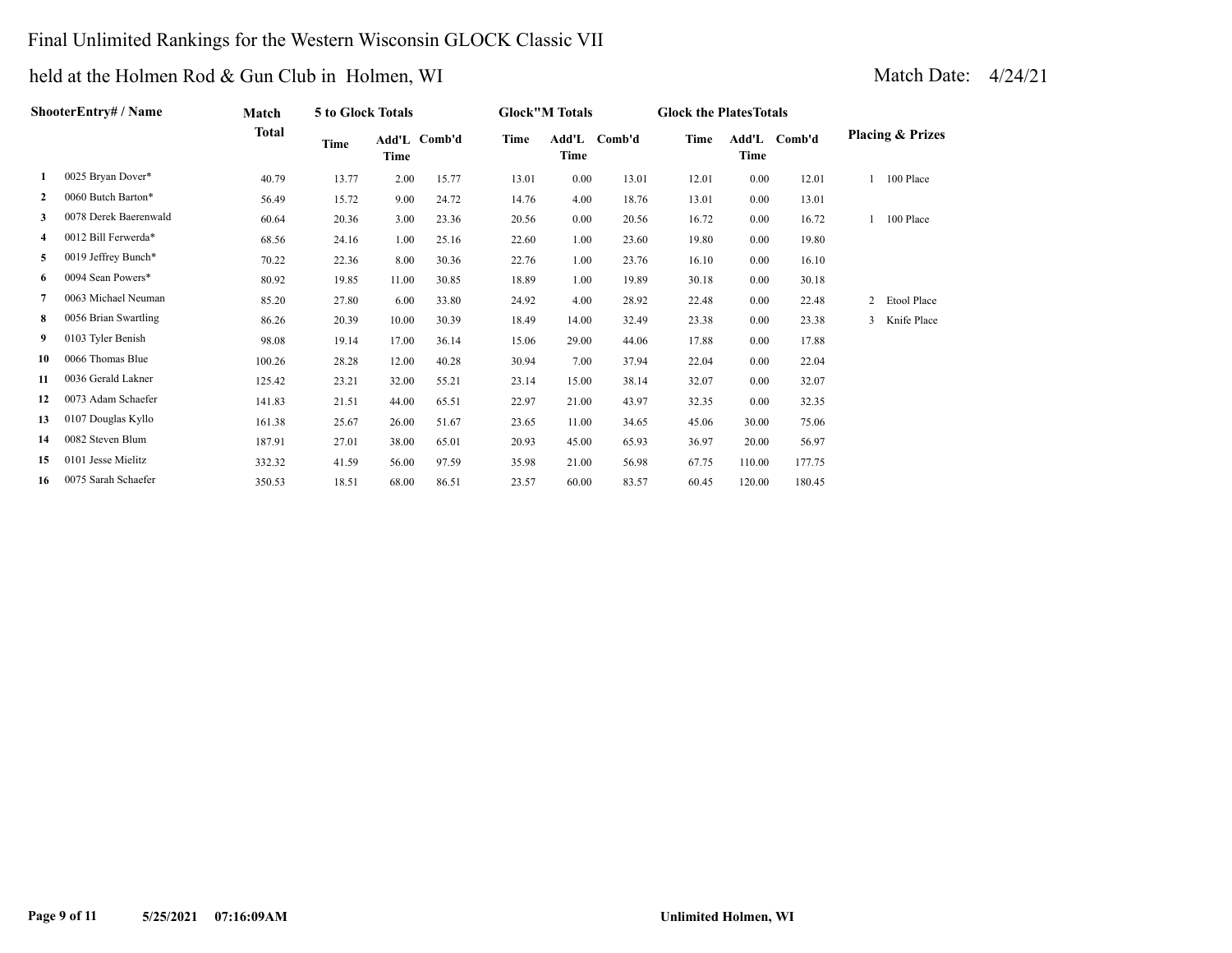# Final Unlimited Rankings for the Western Wisconsin GLOCK Classic VII

| ShooterEntry# / Name |                       | Match        | 5 to Glock Totals |       |              |             | <b>Glock"M Totals</b> |              | <b>Glock the PlatesTotals</b> |        |              |                             |             |
|----------------------|-----------------------|--------------|-------------------|-------|--------------|-------------|-----------------------|--------------|-------------------------------|--------|--------------|-----------------------------|-------------|
|                      |                       | <b>Total</b> | Time              | Time  | Add'L Comb'd | <b>Time</b> | Time                  | Add'L Comb'd | Time                          | Time   | Add'L Comb'd | <b>Placing &amp; Prizes</b> |             |
| 1                    | 0025 Bryan Dover*     | 40.79        | 13.77             | 2.00  | 15.77        | 13.01       | 0.00                  | 13.01        | 12.01                         | 0.00   | 12.01        |                             | 100 Place   |
| $\mathbf{2}$         | 0060 Butch Barton*    | 56.49        | 15.72             | 9.00  | 24.72        | 14.76       | 4.00                  | 18.76        | 13.01                         | 0.00   | 13.01        |                             |             |
| 3                    | 0078 Derek Baerenwald | 60.64        | 20.36             | 3.00  | 23.36        | 20.56       | 0.00                  | 20.56        | 16.72                         | 0.00   | 16.72        |                             | 100 Place   |
| 4                    | 0012 Bill Ferwerda*   | 68.56        | 24.16             | 1.00  | 25.16        | 22.60       | 1.00                  | 23.60        | 19.80                         | 0.00   | 19.80        |                             |             |
| 5                    | 0019 Jeffrey Bunch*   | 70.22        | 22.36             | 8.00  | 30.36        | 22.76       | 1.00                  | 23.76        | 16.10                         | 0.00   | 16.10        |                             |             |
| 6                    | 0094 Sean Powers*     | 80.92        | 19.85             | 11.00 | 30.85        | 18.89       | 1.00                  | 19.89        | 30.18                         | 0.00   | 30.18        |                             |             |
| 7                    | 0063 Michael Neuman   | 85.20        | 27.80             | 6.00  | 33.80        | 24.92       | 4.00                  | 28.92        | 22.48                         | 0.00   | 22.48        | $\overline{2}$              | Etool Place |
| 8                    | 0056 Brian Swartling  | 86.26        | 20.39             | 10.00 | 30.39        | 18.49       | 14.00                 | 32.49        | 23.38                         | 0.00   | 23.38        | 3                           | Knife Place |
| 9                    | 0103 Tyler Benish     | 98.08        | 19.14             | 17.00 | 36.14        | 15.06       | 29.00                 | 44.06        | 17.88                         | 0.00   | 17.88        |                             |             |
| 10                   | 0066 Thomas Blue      | 100.26       | 28.28             | 12.00 | 40.28        | 30.94       | 7.00                  | 37.94        | 22.04                         | 0.00   | 22.04        |                             |             |
| 11                   | 0036 Gerald Lakner    | 125.42       | 23.21             | 32.00 | 55.21        | 23.14       | 15.00                 | 38.14        | 32.07                         | 0.00   | 32.07        |                             |             |
| 12                   | 0073 Adam Schaefer    | 141.83       | 21.51             | 44.00 | 65.51        | 22.97       | 21.00                 | 43.97        | 32.35                         | 0.00   | 32.35        |                             |             |
| 13                   | 0107 Douglas Kyllo    | 161.38       | 25.67             | 26.00 | 51.67        | 23.65       | 11.00                 | 34.65        | 45.06                         | 30.00  | 75.06        |                             |             |
| 14                   | 0082 Steven Blum      | 187.91       | 27.01             | 38.00 | 65.01        | 20.93       | 45.00                 | 65.93        | 36.97                         | 20.00  | 56.97        |                             |             |
| 15                   | 0101 Jesse Mielitz    | 332.32       | 41.59             | 56.00 | 97.59        | 35.98       | 21.00                 | 56.98        | 67.75                         | 110.00 | 177.75       |                             |             |
| 16                   | 0075 Sarah Schaefer   | 350.53       | 18.51             | 68.00 | 86.51        | 23.57       | 60.00                 | 83.57        | 60.45                         | 120.00 | 180.45       |                             |             |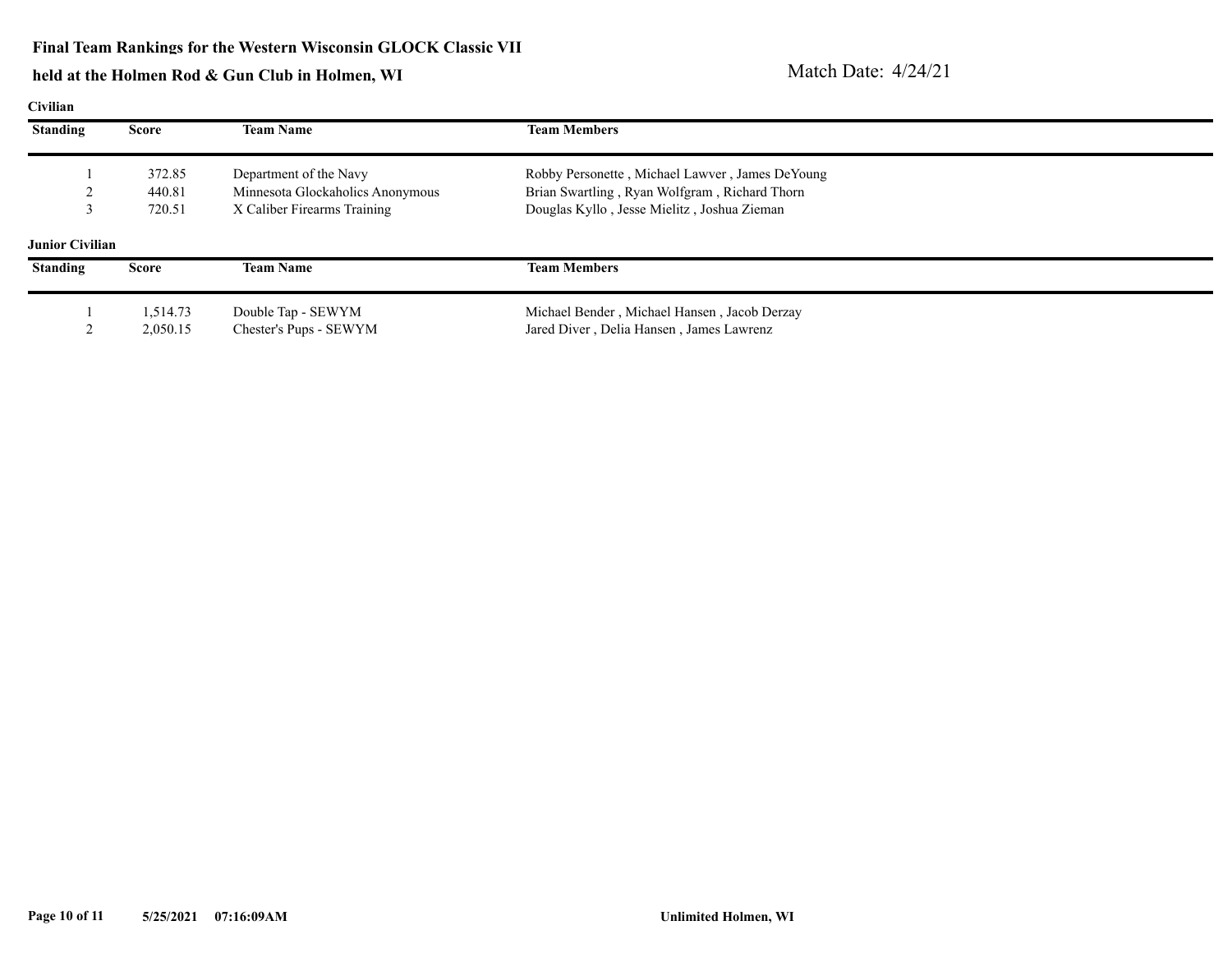| Civilian               |              |                                  |                                                 |  |  |  |  |  |  |
|------------------------|--------------|----------------------------------|-------------------------------------------------|--|--|--|--|--|--|
| <b>Standing</b>        | Score        | <b>Team Name</b>                 | <b>Team Members</b>                             |  |  |  |  |  |  |
|                        | 372.85       | Department of the Navy           | Robby Personette, Michael Lawver, James DeYoung |  |  |  |  |  |  |
|                        | 440.81       | Minnesota Glockaholics Anonymous | Brian Swartling, Ryan Wolfgram, Richard Thorn   |  |  |  |  |  |  |
|                        | 720.51       | X Caliber Firearms Training      | Douglas Kyllo, Jesse Mielitz, Joshua Zieman     |  |  |  |  |  |  |
| <b>Junior Civilian</b> |              |                                  |                                                 |  |  |  |  |  |  |
| <b>Standing</b>        | <b>Score</b> | <b>Team Name</b>                 | <b>Team Members</b>                             |  |  |  |  |  |  |
|                        | 1,514.73     | Double Tap - SEWYM               | Michael Bender, Michael Hansen, Jacob Derzay    |  |  |  |  |  |  |
|                        | 2,050.15     | Chester's Pups - SEWYM           | Jared Diver, Delia Hansen, James Lawrenz        |  |  |  |  |  |  |